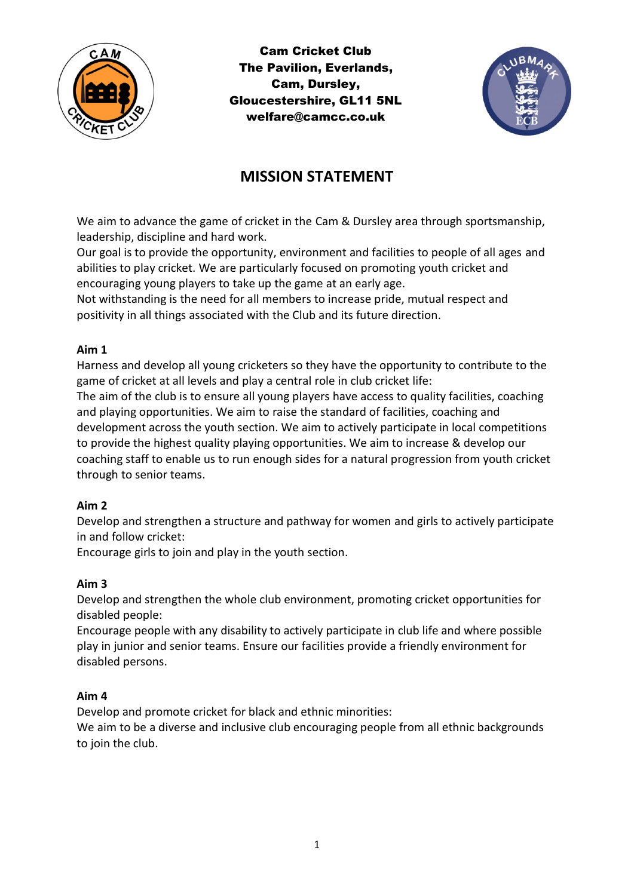

Cam Cricket Club The Pavilion, Everlands, Cam, Dursley, Gloucestershire, GL11 5NL welfare@camcc.co.uk



# **MISSION STATEMENT**

We aim to advance the game of cricket in the Cam & Dursley area through sportsmanship, leadership, discipline and hard work.

Our goal is to provide the opportunity, environment and facilities to people of all ages and abilities to play cricket. We are particularly focused on promoting youth cricket and encouraging young players to take up the game at an early age.

Not withstanding is the need for all members to increase pride, mutual respect and positivity in all things associated with the Club and its future direction.

## **Aim 1**

Harness and develop all young cricketers so they have the opportunity to contribute to the game of cricket at all levels and play a central role in club cricket life:

The aim of the club is to ensure all young players have access to quality facilities, coaching and playing opportunities. We aim to raise the standard of facilities, coaching and development across the youth section. We aim to actively participate in local competitions to provide the highest quality playing opportunities. We aim to increase & develop our coaching staff to enable us to run enough sides for a natural progression from youth cricket through to senior teams.

## **Aim 2**

Develop and strengthen a structure and pathway for women and girls to actively participate in and follow cricket:

Encourage girls to join and play in the youth section.

### **Aim 3**

Develop and strengthen the whole club environment, promoting cricket opportunities for disabled people:

Encourage people with any disability to actively participate in club life and where possible play in junior and senior teams. Ensure our facilities provide a friendly environment for disabled persons.

### **Aim 4**

Develop and promote cricket for black and ethnic minorities:

We aim to be a diverse and inclusive club encouraging people from all ethnic backgrounds to join the club.